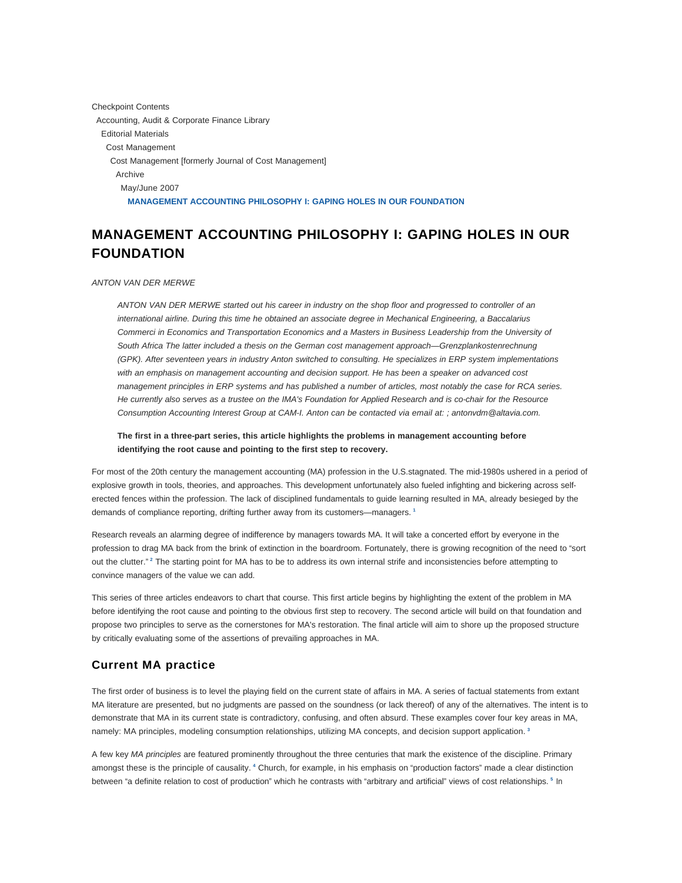Checkpoint Contents Accounting, Audit & Corporate Finance Library Editorial Materials Cost Management Cost Management [formerly Journal of Cost Management] Archive May/June 2007 **MANAGEMENT ACCOUNTING PHILOSOPHY I: GAPING HOLES IN OUR FOUNDATION**

# **MANAGEMENT ACCOUNTING PHILOSOPHY I: GAPING HOLES IN OUR FOUNDATION**

#### ANTON VAN DER MERWE

ANTON VAN DER MERWE started out his career in industry on the shop floor and progressed to controller of an international airline. During this time he obtained an associate degree in Mechanical Engineering, a Baccalarius Commerci in Economics and Transportation Economics and a Masters in Business Leadership from the University of South Africa The latter included a thesis on the German cost management approach—Grenzplankostenrechnung (GPK). After seventeen years in industry Anton switched to consulting. He specializes in ERP system implementations with an emphasis on management accounting and decision support. He has been a speaker on advanced cost management principles in ERP systems and has published a number of articles, most notably the case for RCA series. He currently also serves as a trustee on the IMA's Foundation for Applied Research and is co-chair for the Resource Consumption Accounting Interest Group at CAM-I. Anton can be contacted via email at: ; antonvdm@altavia.com.

**The first in a three-part series, this article highlights the problems in management accounting before identifying the root cause and pointing to the first step to recovery.**

For most of the 20th century the management accounting (MA) profession in the U.S.stagnated. The mid-1980s ushered in a period of explosive growth in tools, theories, and approaches. This development unfortunately also fueled infighting and bickering across selferected fences within the profession. The lack of disciplined fundamentals to guide learning resulted in MA, already besieged by the demands of compliance reporting, drifting further away from its customers—managers. **<sup>1</sup>**

Research reveals an alarming degree of indifference by managers towards MA. It will take a concerted effort by everyone in the profession to drag MA back from the brink of extinction in the boardroom. Fortunately, there is growing recognition of the need to "sort out the clutter."<sup>2</sup> The starting point for MA has to be to address its own internal strife and inconsistencies before attempting to convince managers of the value we can add.

This series of three articles endeavors to chart that course. This first article begins by highlighting the extent of the problem in MA before identifying the root cause and pointing to the obvious first step to recovery. The second article will build on that foundation and propose two principles to serve as the cornerstones for MA's restoration. The final article will aim to shore up the proposed structure by critically evaluating some of the assertions of prevailing approaches in MA.

#### **Current MA practice**

The first order of business is to level the playing field on the current state of affairs in MA. A series of factual statements from extant MA literature are presented, but no judgments are passed on the soundness (or lack thereof) of any of the alternatives. The intent is to demonstrate that MA in its current state is contradictory, confusing, and often absurd. These examples cover four key areas in MA, namely: MA principles, modeling consumption relationships, utilizing MA concepts, and decision support application. **<sup>3</sup>**

A few key MA principles are featured prominently throughout the three centuries that mark the existence of the discipline. Primary amongst these is the principle of causality. <sup>4</sup> Church, for example, in his emphasis on "production factors" made a clear distinction between "a definite relation to cost of production" which he contrasts with "arbitrary and artificial" views of cost relationships. **<sup>5</sup>** In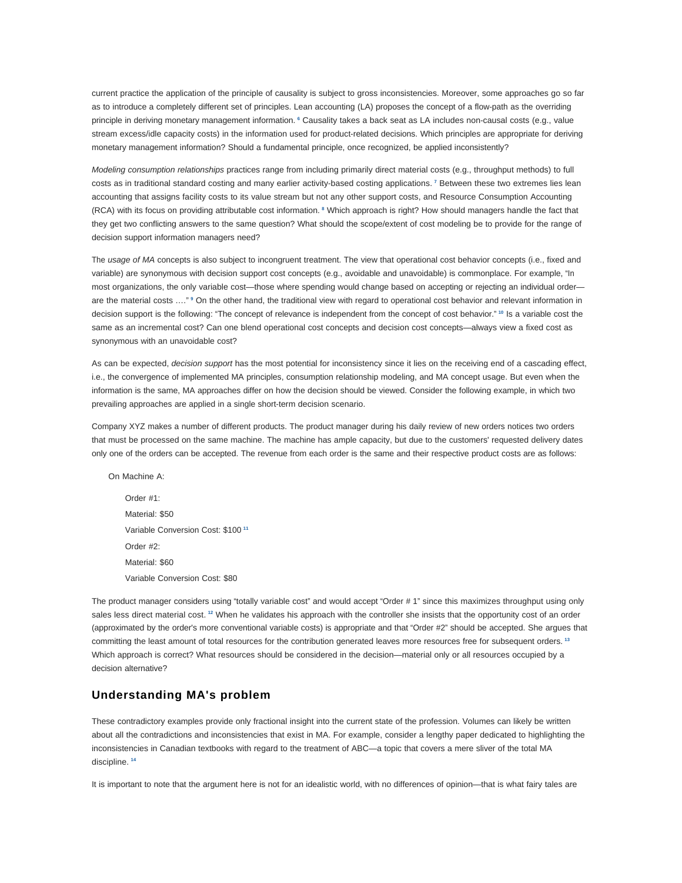current practice the application of the principle of causality is subject to gross inconsistencies. Moreover, some approaches go so far as to introduce a completely different set of principles. Lean accounting (LA) proposes the concept of a flow-path as the overriding principle in deriving monetary management information. <sup>6</sup> Causality takes a back seat as LA includes non-causal costs (e.g., value stream excess/idle capacity costs) in the information used for product-related decisions. Which principles are appropriate for deriving monetary management information? Should a fundamental principle, once recognized, be applied inconsistently?

Modeling consumption relationships practices range from including primarily direct material costs (e.g., throughput methods) to full costs as in traditional standard costing and many earlier activity-based costing applications.<sup>7</sup> Between these two extremes lies lean accounting that assigns facility costs to its value stream but not any other support costs, and Resource Consumption Accounting (RCA) with its focus on providing attributable cost information. **<sup>8</sup>** Which approach is right? How should managers handle the fact that they get two conflicting answers to the same question? What should the scope/extent of cost modeling be to provide for the range of decision support information managers need?

The usage of MA concepts is also subject to incongruent treatment. The view that operational cost behavior concepts (i.e., fixed and variable) are synonymous with decision support cost concepts (e.g., avoidable and unavoidable) is commonplace. For example, "In most organizations, the only variable cost—those where spending would change based on accepting or rejecting an individual order are the material costs ...."<sup>9</sup> On the other hand, the traditional view with regard to operational cost behavior and relevant information in decision support is the following: "The concept of relevance is independent from the concept of cost behavior." **<sup>10</sup>** Is a variable cost the same as an incremental cost? Can one blend operational cost concepts and decision cost concepts—always view a fixed cost as synonymous with an unavoidable cost?

As can be expected, decision support has the most potential for inconsistency since it lies on the receiving end of a cascading effect, i.e., the convergence of implemented MA principles, consumption relationship modeling, and MA concept usage. But even when the information is the same, MA approaches differ on how the decision should be viewed. Consider the following example, in which two prevailing approaches are applied in a single short-term decision scenario.

Company XYZ makes a number of different products. The product manager during his daily review of new orders notices two orders that must be processed on the same machine. The machine has ample capacity, but due to the customers' requested delivery dates only one of the orders can be accepted. The revenue from each order is the same and their respective product costs are as follows:

On Machine A: Order #1: Material: \$50 Variable Conversion Cost: \$100 **<sup>11</sup>** Order #2: Material: \$60 Variable Conversion Cost: \$80

The product manager considers using "totally variable cost" and would accept "Order # 1" since this maximizes throughput using only sales less direct material cost.<sup>12</sup> When he validates his approach with the controller she insists that the opportunity cost of an order (approximated by the order's more conventional variable costs) is appropriate and that "Order #2" should be accepted. She argues that committing the least amount of total resources for the contribution generated leaves more resources free for subsequent orders. **<sup>13</sup>** Which approach is correct? What resources should be considered in the decision—material only or all resources occupied by a decision alternative?

### **Understanding MA's problem**

These contradictory examples provide only fractional insight into the current state of the profession. Volumes can likely be written about all the contradictions and inconsistencies that exist in MA. For example, consider a lengthy paper dedicated to highlighting the inconsistencies in Canadian textbooks with regard to the treatment of ABC—a topic that covers a mere sliver of the total MA discipline. **<sup>14</sup>**

It is important to note that the argument here is not for an idealistic world, with no differences of opinion—that is what fairy tales are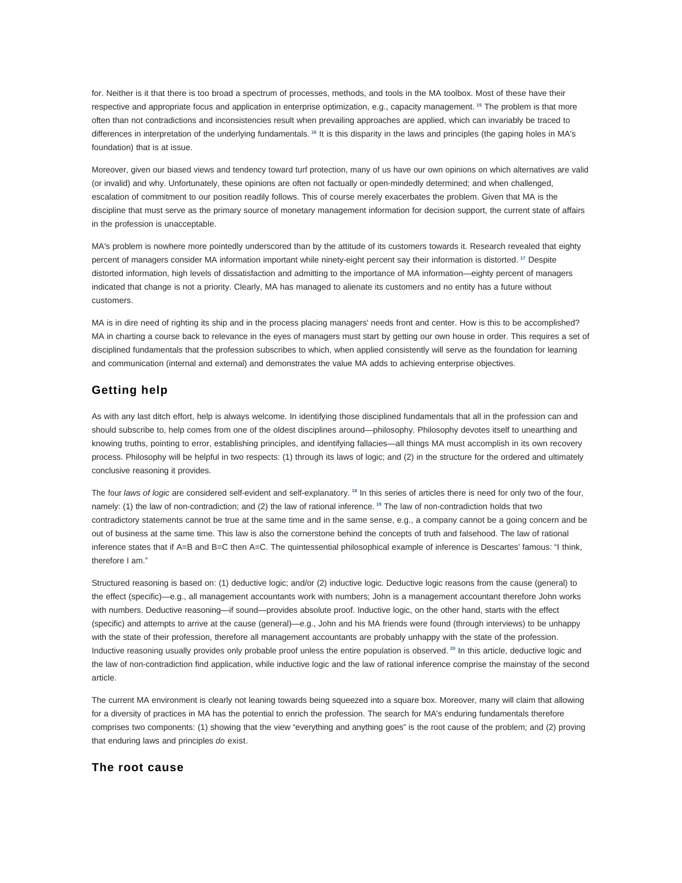for. Neither is it that there is too broad a spectrum of processes, methods, and tools in the MA toolbox. Most of these have their respective and appropriate focus and application in enterprise optimization, e.g., capacity management. **<sup>15</sup>** The problem is that more often than not contradictions and inconsistencies result when prevailing approaches are applied, which can invariably be traced to differences in interpretation of the underlying fundamentals. **<sup>16</sup>** It is this disparity in the laws and principles (the gaping holes in MA's foundation) that is at issue.

Moreover, given our biased views and tendency toward turf protection, many of us have our own opinions on which alternatives are valid (or invalid) and why. Unfortunately, these opinions are often not factually or open-mindedly determined; and when challenged, escalation of commitment to our position readily follows. This of course merely exacerbates the problem. Given that MA is the discipline that must serve as the primary source of monetary management information for decision support, the current state of affairs in the profession is unacceptable.

MA's problem is nowhere more pointedly underscored than by the attitude of its customers towards it. Research revealed that eighty percent of managers consider MA information important while ninety-eight percent say their information is distorted. **<sup>17</sup>** Despite distorted information, high levels of dissatisfaction and admitting to the importance of MA information—eighty percent of managers indicated that change is not a priority. Clearly, MA has managed to alienate its customers and no entity has a future without customers.

MA is in dire need of righting its ship and in the process placing managers' needs front and center. How is this to be accomplished? MA in charting a course back to relevance in the eyes of managers must start by getting our own house in order. This requires a set of disciplined fundamentals that the profession subscribes to which, when applied consistently will serve as the foundation for learning and communication (internal and external) and demonstrates the value MA adds to achieving enterprise objectives.

### **Getting help**

As with any last ditch effort, help is always welcome. In identifying those disciplined fundamentals that all in the profession can and should subscribe to, help comes from one of the oldest disciplines around—philosophy. Philosophy devotes itself to unearthing and knowing truths, pointing to error, establishing principles, and identifying fallacies—all things MA must accomplish in its own recovery process. Philosophy will be helpful in two respects: (1) through its laws of logic; and (2) in the structure for the ordered and ultimately conclusive reasoning it provides.

The four laws of logic are considered self-evident and self-explanatory. **<sup>18</sup>** In this series of articles there is need for only two of the four, namely: (1) the law of non-contradiction; and (2) the law of rational inference. **<sup>19</sup>** The law of non-contradiction holds that two contradictory statements cannot be true at the same time and in the same sense, e.g., a company cannot be a going concern and be out of business at the same time. This law is also the cornerstone behind the concepts of truth and falsehood. The law of rational inference states that if A=B and B=C then A=C. The quintessential philosophical example of inference is Descartes' famous: "I think, therefore I am."

Structured reasoning is based on: (1) deductive logic; and/or (2) inductive logic. Deductive logic reasons from the cause (general) to the effect (specific)—e.g., all management accountants work with numbers; John is a management accountant therefore John works with numbers. Deductive reasoning—if sound—provides absolute proof. Inductive logic, on the other hand, starts with the effect (specific) and attempts to arrive at the cause (general)—e.g., John and his MA friends were found (through interviews) to be unhappy with the state of their profession, therefore all management accountants are probably unhappy with the state of the profession. Inductive reasoning usually provides only probable proof unless the entire population is observed. **<sup>20</sup>** In this article, deductive logic and the law of non-contradiction find application, while inductive logic and the law of rational inference comprise the mainstay of the second article.

The current MA environment is clearly not leaning towards being squeezed into a square box. Moreover, many will claim that allowing for a diversity of practices in MA has the potential to enrich the profession. The search for MA's enduring fundamentals therefore comprises two components: (1) showing that the view "everything and anything goes" is the root cause of the problem; and (2) proving that enduring laws and principles do exist.

## **The root cause**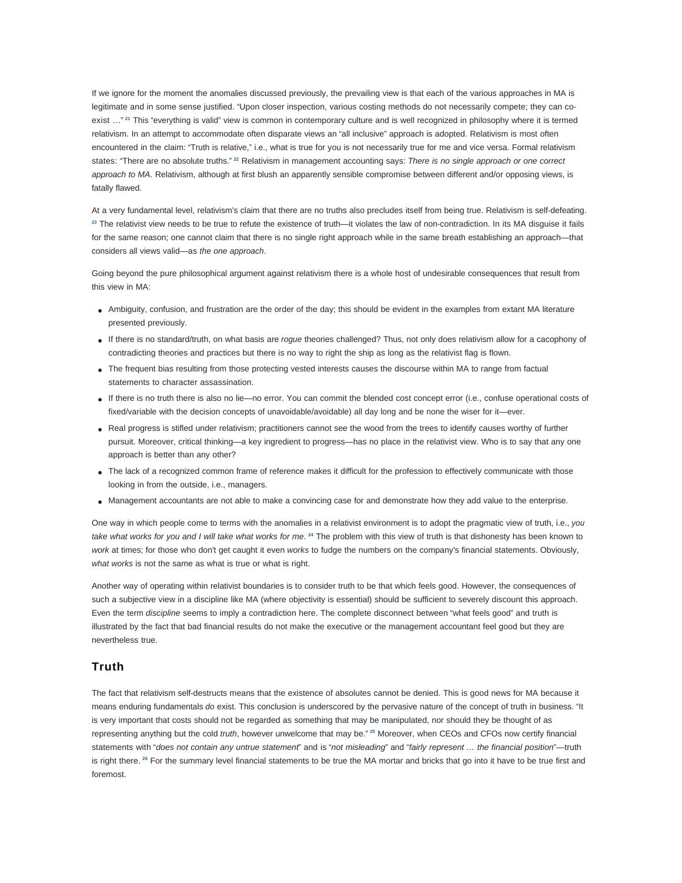If we ignore for the moment the anomalies discussed previously, the prevailing view is that each of the various approaches in MA is legitimate and in some sense justified. "Upon closer inspection, various costing methods do not necessarily compete; they can coexist ..."<sup>21</sup> This "everything is valid" view is common in contemporary culture and is well recognized in philosophy where it is termed relativism. In an attempt to accommodate often disparate views an "all inclusive" approach is adopted. Relativism is most often encountered in the claim: "Truth is relative," i.e., what is true for you is not necessarily true for me and vice versa. Formal relativism states: "There are no absolute truths."<sup>22</sup> Relativism in management accounting says: There is no single approach or one correct approach to MA. Relativism, although at first blush an apparently sensible compromise between different and/or opposing views, is fatally flawed.

At a very fundamental level, relativism's claim that there are no truths also precludes itself from being true. Relativism is self-defeating. **<sup>23</sup>** The relativist view needs to be true to refute the existence of truth—it violates the law of non-contradiction. In its MA disguise it fails for the same reason; one cannot claim that there is no single right approach while in the same breath establishing an approach—that considers all views valid—as the one approach.

Going beyond the pure philosophical argument against relativism there is a whole host of undesirable consequences that result from this view in MA:

- Ambiguity, confusion, and frustration are the order of the day; this should be evident in the examples from extant MA literature presented previously.
- If there is no standard/truth, on what basis are rogue theories challenged? Thus, not only does relativism allow for a cacophony of contradicting theories and practices but there is no way to right the ship as long as the relativist flag is flown.
- The frequent bias resulting from those protecting vested interests causes the discourse within MA to range from factual statements to character assassination.
- If there is no truth there is also no lie—no error. You can commit the blended cost concept error (i.e., confuse operational costs of fixed/variable with the decision concepts of unavoidable/avoidable) all day long and be none the wiser for it—ever.
- Real progress is stifled under relativism; practitioners cannot see the wood from the trees to identify causes worthy of further pursuit. Moreover, critical thinking—a key ingredient to progress—has no place in the relativist view. Who is to say that any one approach is better than any other?
- The lack of a recognized common frame of reference makes it difficult for the profession to effectively communicate with those looking in from the outside, i.e., managers.
- Management accountants are not able to make a convincing case for and demonstrate how they add value to the enterprise.

One way in which people come to terms with the anomalies in a relativist environment is to adopt the pragmatic view of truth, i.e., you take what works for you and I will take what works for me. <sup>24</sup> The problem with this view of truth is that dishonesty has been known to work at times; for those who don't get caught it even works to fudge the numbers on the company's financial statements. Obviously, what works is not the same as what is true or what is right.

Another way of operating within relativist boundaries is to consider truth to be that which feels good. However, the consequences of such a subjective view in a discipline like MA (where objectivity is essential) should be sufficient to severely discount this approach. Even the term discipline seems to imply a contradiction here. The complete disconnect between "what feels good" and truth is illustrated by the fact that bad financial results do not make the executive or the management accountant feel good but they are nevertheless true.

### **Truth**

The fact that relativism self-destructs means that the existence of absolutes cannot be denied. This is good news for MA because it means enduring fundamentals do exist. This conclusion is underscored by the pervasive nature of the concept of truth in business. "It is very important that costs should not be regarded as something that may be manipulated, nor should they be thought of as representing anything but the cold truth, however unwelcome that may be." **<sup>25</sup>** Moreover, when CEOs and CFOs now certify financial statements with "does not contain any untrue statement" and is "not misleading" and "fairly represent ... the financial position"-truth is right there. <sup>26</sup> For the summary level financial statements to be true the MA mortar and bricks that go into it have to be true first and foremost.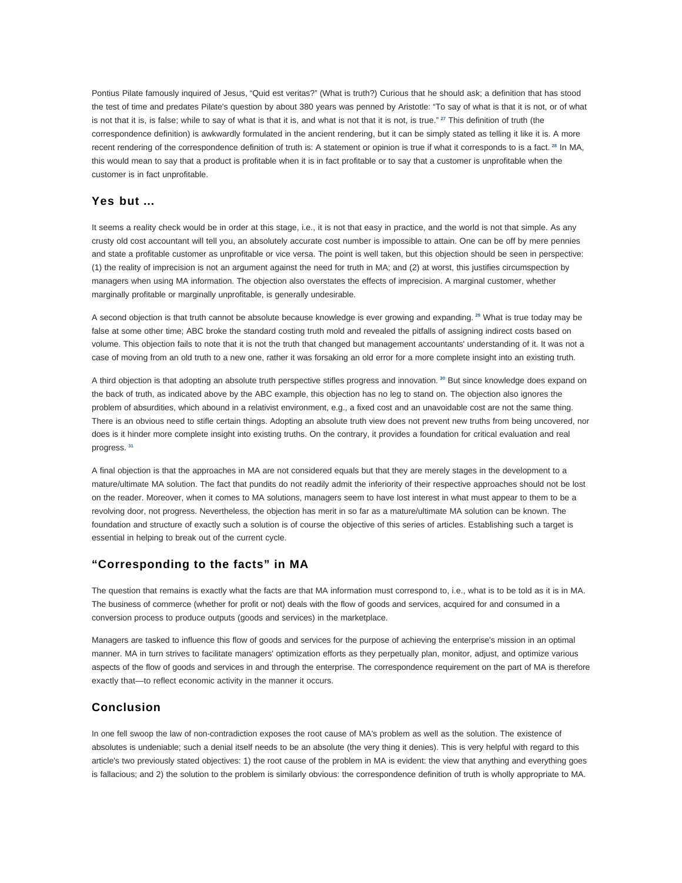Pontius Pilate famously inquired of Jesus, "Quid est veritas?" (What is truth?) Curious that he should ask; a definition that has stood the test of time and predates Pilate's question by about 380 years was penned by Aristotle: "To say of what is that it is not, or of what is not that it is, is false; while to say of what is that it is, and what is not that it is not, is true." **<sup>27</sup>** This definition of truth (the correspondence definition) is awkwardly formulated in the ancient rendering, but it can be simply stated as telling it like it is. A more recent rendering of the correspondence definition of truth is: A statement or opinion is true if what it corresponds to is a fact. **<sup>28</sup>** In MA, this would mean to say that a product is profitable when it is in fact profitable or to say that a customer is unprofitable when the customer is in fact unprofitable.

## **Yes but …**

It seems a reality check would be in order at this stage, i.e., it is not that easy in practice, and the world is not that simple. As any crusty old cost accountant will tell you, an absolutely accurate cost number is impossible to attain. One can be off by mere pennies and state a profitable customer as unprofitable or vice versa. The point is well taken, but this objection should be seen in perspective: (1) the reality of imprecision is not an argument against the need for truth in MA; and (2) at worst, this justifies circumspection by managers when using MA information. The objection also overstates the effects of imprecision. A marginal customer, whether marginally profitable or marginally unprofitable, is generally undesirable.

A second objection is that truth cannot be absolute because knowledge is ever growing and expanding. **<sup>29</sup>** What is true today may be false at some other time; ABC broke the standard costing truth mold and revealed the pitfalls of assigning indirect costs based on volume. This objection fails to note that it is not the truth that changed but management accountants' understanding of it. It was not a case of moving from an old truth to a new one, rather it was forsaking an old error for a more complete insight into an existing truth.

A third objection is that adopting an absolute truth perspective stifles progress and innovation. **<sup>30</sup>** But since knowledge does expand on the back of truth, as indicated above by the ABC example, this objection has no leg to stand on. The objection also ignores the problem of absurdities, which abound in a relativist environment, e.g., a fixed cost and an unavoidable cost are not the same thing. There is an obvious need to stifle certain things. Adopting an absolute truth view does not prevent new truths from being uncovered, nor does is it hinder more complete insight into existing truths. On the contrary, it provides a foundation for critical evaluation and real progress. **<sup>31</sup>**

A final objection is that the approaches in MA are not considered equals but that they are merely stages in the development to a mature/ultimate MA solution. The fact that pundits do not readily admit the inferiority of their respective approaches should not be lost on the reader. Moreover, when it comes to MA solutions, managers seem to have lost interest in what must appear to them to be a revolving door, not progress. Nevertheless, the objection has merit in so far as a mature/ultimate MA solution can be known. The foundation and structure of exactly such a solution is of course the objective of this series of articles. Establishing such a target is essential in helping to break out of the current cycle.

#### **"Corresponding to the facts" in MA**

The question that remains is exactly what the facts are that MA information must correspond to, i.e., what is to be told as it is in MA. The business of commerce (whether for profit or not) deals with the flow of goods and services, acquired for and consumed in a conversion process to produce outputs (goods and services) in the marketplace.

Managers are tasked to influence this flow of goods and services for the purpose of achieving the enterprise's mission in an optimal manner. MA in turn strives to facilitate managers' optimization efforts as they perpetually plan, monitor, adjust, and optimize various aspects of the flow of goods and services in and through the enterprise. The correspondence requirement on the part of MA is therefore exactly that—to reflect economic activity in the manner it occurs.

# **Conclusion**

In one fell swoop the law of non-contradiction exposes the root cause of MA's problem as well as the solution. The existence of absolutes is undeniable; such a denial itself needs to be an absolute (the very thing it denies). This is very helpful with regard to this article's two previously stated objectives: 1) the root cause of the problem in MA is evident: the view that anything and everything goes is fallacious; and 2) the solution to the problem is similarly obvious: the correspondence definition of truth is wholly appropriate to MA.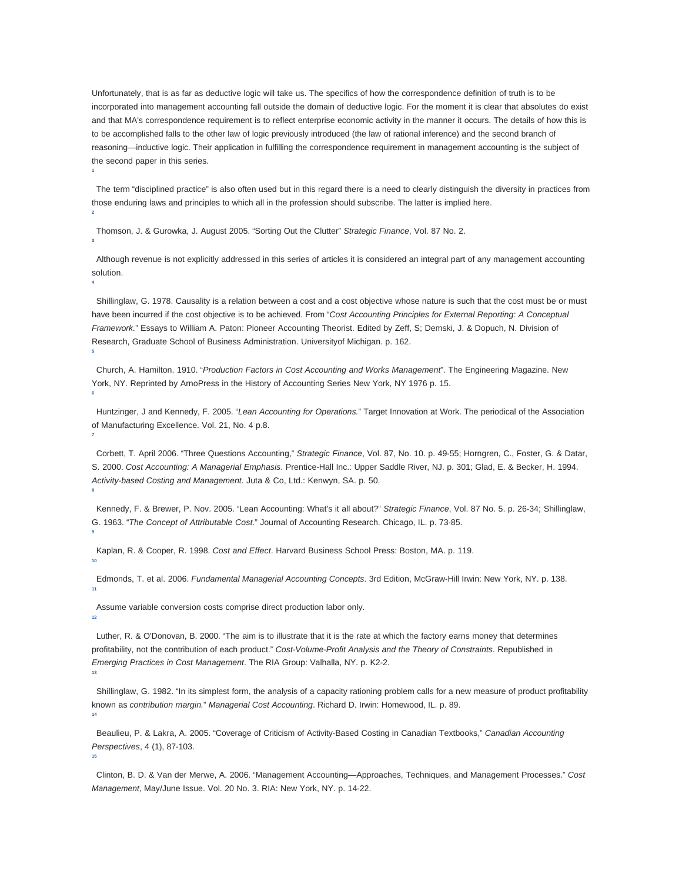Unfortunately, that is as far as deductive logic will take us. The specifics of how the correspondence definition of truth is to be incorporated into management accounting fall outside the domain of deductive logic. For the moment it is clear that absolutes do exist and that MA's correspondence requirement is to reflect enterprise economic activity in the manner it occurs. The details of how this is to be accomplished falls to the other law of logic previously introduced (the law of rational inference) and the second branch of reasoning—inductive logic. Their application in fulfilling the correspondence requirement in management accounting is the subject of the second paper in this series.

 The term "disciplined practice" is also often used but in this regard there is a need to clearly distinguish the diversity in practices from those enduring laws and principles to which all in the profession should subscribe. The latter is implied here.

Thomson, J. & Gurowka, J. August 2005. "Sorting Out the Clutter" Strategic Finance, Vol. 87 No. 2.

**1**

**2**

**3**

**4**

**6**

**7**

**8**

**10**

**13**

**15**

 Although revenue is not explicitly addressed in this series of articles it is considered an integral part of any management accounting solution.

 Shillinglaw, G. 1978. Causality is a relation between a cost and a cost objective whose nature is such that the cost must be or must have been incurred if the cost objective is to be achieved. From "Cost Accounting Principles for External Reporting: A Conceptual Framework." Essays to William A. Paton: Pioneer Accounting Theorist. Edited by Zeff, S; Demski, J. & Dopuch, N. Division of Research, Graduate School of Business Administration. Universityof Michigan. p. 162. **5**

 Church, A. Hamilton. 1910. "Production Factors in Cost Accounting and Works Management". The Engineering Magazine. New York, NY. Reprinted by ArnoPress in the History of Accounting Series New York, NY 1976 p. 15.

Huntzinger, J and Kennedy, F. 2005. "Lean Accounting for Operations." Target Innovation at Work. The periodical of the Association of Manufacturing Excellence. Vol. 21, No. 4 p.8.

 Corbett, T. April 2006. "Three Questions Accounting," Strategic Finance, Vol. 87, No. 10. p. 49-55; Horngren, C., Foster, G. & Datar, S. 2000. Cost Accounting: A Managerial Emphasis. Prentice-Hall Inc.: Upper Saddle River, NJ. p. 301; Glad, E. & Becker, H. 1994. Activity-based Costing and Management. Juta & Co, Ltd.: Kenwyn, SA. p. 50.

 Kennedy, F. & Brewer, P. Nov. 2005. "Lean Accounting: What's it all about?" Strategic Finance, Vol. 87 No. 5. p. 26-34; Shillinglaw, G. 1963. "The Concept of Attributable Cost." Journal of Accounting Research. Chicago, IL. p. 73-85. **9**

Kaplan, R. & Cooper, R. 1998. Cost and Effect. Harvard Business School Press: Boston, MA. p. 119.

 Edmonds, T. et al. 2006. Fundamental Managerial Accounting Concepts. 3rd Edition, McGraw-Hill Irwin: New York, NY. p. 138. **11**

 Assume variable conversion costs comprise direct production labor only. **12**

 Luther, R. & O'Donovan, B. 2000. "The aim is to illustrate that it is the rate at which the factory earns money that determines profitability, not the contribution of each product." Cost-Volume-Profit Analysis and the Theory of Constraints. Republished in Emerging Practices in Cost Management. The RIA Group: Valhalla, NY. p. K2-2.

 Shillinglaw, G. 1982. "In its simplest form, the analysis of a capacity rationing problem calls for a new measure of product profitability known as contribution margin." Managerial Cost Accounting. Richard D. Irwin: Homewood, IL. p. 89. **14**

Beaulieu, P. & Lakra, A. 2005. "Coverage of Criticism of Activity-Based Costing in Canadian Textbooks," Canadian Accounting Perspectives, 4 (1), 87-103.

 Clinton, B. D. & Van der Merwe, A. 2006. "Management Accounting—Approaches, Techniques, and Management Processes." Cost Management, May/June Issue. Vol. 20 No. 3. RIA: New York, NY. p. 14-22.